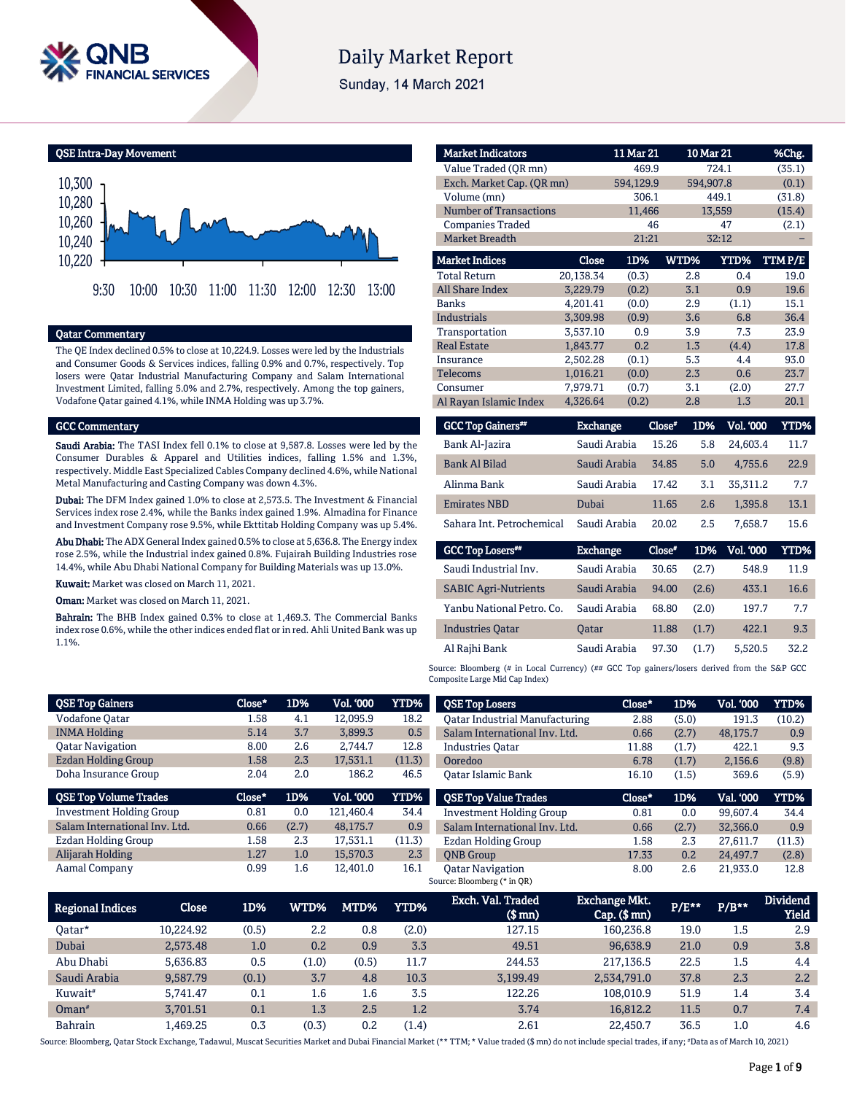

# **Daily Market Report**

Sunday, 14 March 2021

QSE Intra-Day Movement



#### Qatar Commentary

The QE Index declined 0.5% to close at 10,224.9. Losses were led by the Industrials and Consumer Goods & Services indices, falling 0.9% and 0.7%, respectively. Top losers were Qatar Industrial Manufacturing Company and Salam International Investment Limited, falling 5.0% and 2.7%, respectively. Among the top gainers, Vodafone Qatar gained 4.1%, while INMA Holding was up 3.7%.

#### GCC Commentary

Saudi Arabia: The TASI Index fell 0.1% to close at 9,587.8. Losses were led by the Consumer Durables & Apparel and Utilities indices, falling 1.5% and 1.3%, respectively. Middle East Specialized Cables Company declined 4.6%, while National Metal Manufacturing and Casting Company was down 4.3%.

Dubai: The DFM Index gained 1.0% to close at 2,573.5. The Investment & Financial Services index rose 2.4%, while the Banks index gained 1.9%. Almadina for Finance and Investment Company rose 9.5%, while Ekttitab Holding Company was up 5.4%.

Abu Dhabi: The ADX General Index gained 0.5% to close at 5,636.8. The Energy index rose 2.5%, while the Industrial index gained 0.8%. Fujairah Building Industries rose 14.4%, while Abu Dhabi National Company for Building Materials was up 13.0%.

Kuwait: Market was closed on March 11, 2021.

**Oman:** Market was closed on March 11, 2021.

Bahrain: The BHB Index gained 0.3% to close at 1,469.3. The Commercial Banks index rose 0.6%, while the other indices ended flat or in red. Ahli United Bank was up 1.1%.

| <b>Market Indicators</b>      |              | 11 Mar 21 |          | $10$ Mar $21$ |                  | %Chg.       |
|-------------------------------|--------------|-----------|----------|---------------|------------------|-------------|
| Value Traded (OR mn)          |              | 469.9     |          | 724.1         |                  | (35.1)      |
| Exch. Market Cap. (QR mn)     |              | 594,129.9 |          | 594,907.8     |                  | (0.1)       |
| Volume (mn)                   |              | 306.1     |          | 449.1         |                  | (31.8)      |
| <b>Number of Transactions</b> |              | 11,466    |          | 13,559        |                  | (15.4)      |
| <b>Companies Traded</b>       |              | 46        |          |               | 47               | (2.1)       |
| <b>Market Breadth</b>         |              | 21:21     |          |               | 32:12            |             |
| <b>Market Indices</b>         | <b>Close</b> | 1D%       | WTD%     |               | <b>YTD%</b>      | TTM P/E     |
| <b>Total Return</b>           | 20,138.34    | (0.3)     |          | 2.8           | 0.4              | 19.0        |
| <b>All Share Index</b>        | 3,229.79     | (0.2)     |          | 3.1           | 0.9              | 19.6        |
| <b>Banks</b>                  | 4,201.41     | (0.0)     |          | 2.9           | (1.1)            | 15.1        |
| <b>Industrials</b>            | 3,309.98     | (0.9)     |          | 3.6           | 6.8              | 36.4        |
| Transportation                | 3,537.10     | 0.9       |          | 3.9           | 7.3              | 23.9        |
| <b>Real Estate</b>            | 1.843.77     | 0.2       |          | 1.3           | (4.4)            | 17.8        |
| Insurance                     | 2,502.28     | (0.1)     |          | 5.3           | 4.4              | 93.0        |
| <b>Telecoms</b>               | 1,016.21     | (0.0)     |          | 2.3           | 0.6              | 23.7        |
| Consumer                      | 7,979.71     | (0.7)     |          | 3.1           | (2.0)            | 27.7        |
| Al Rayan Islamic Index        | 4,326.64     | (0.2)     |          | 2.8           | 1.3              | 20.1        |
| <b>GCC Top Gainers**</b>      | Exchange     |           | $Close*$ | 1D%           | <b>Vol. '000</b> | <b>YTD%</b> |
| Bank Al-Jazira                | Saudi Arabia |           | 15.26    | 5.8           | 24,603.4         | 11.7        |
| <b>Bank Al Bilad</b>          | Saudi Arabia |           | 34.85    | 5.0           | 4,755.6          | 22.9        |
| Alinma Bank                   | Saudi Arabia |           | 17.42    | 3.1           | 35,311.2         | 7.7         |
| <b>Emirates NBD</b>           | Dubai        |           | 11.65    | 2.6           | 1,395.8          | 13.1        |
| Sahara Int. Petrochemical     | Saudi Arabia |           | 20.02    | 2.5           | 7,658.7          | 15.6        |

| <b>GCC Top Losers</b> "     | <b>Exchange</b> | Close* | 1D%   | <b>Vol. '000</b> | YTD% |
|-----------------------------|-----------------|--------|-------|------------------|------|
| Saudi Industrial Inv.       | Saudi Arabia    | 30.65  | (2.7) | 548.9            | 11.9 |
| <b>SABIC Agri-Nutrients</b> | Saudi Arabia    | 94.00  | (2.6) | 433.1            | 16.6 |
| Yanbu National Petro, Co.   | Saudi Arabia    | 68.80  | (2.0) | 197.7            | 7.7  |
| <b>Industries Oatar</b>     | <b>Oatar</b>    | 11.88  | (1.7) | 422.1            | 9.3  |
| Al Rajhi Bank               | Saudi Arabia    | 97.30  | (1.7) | 5,520.5          | 32.2 |

Source: Bloomberg (# in Local Currency) (## GCC Top gainers/losers derived from the S&P GCC Composite Large Mid Cap Index)

| <b>QSE Top Gainers</b>          |              | Close* | 1D%   | Vol. '000 | <b>YTD%</b> | <b>QSE Top Losers</b>                 | Close*                                  | 1D%      | Vol. '000 | YTD%                          |
|---------------------------------|--------------|--------|-------|-----------|-------------|---------------------------------------|-----------------------------------------|----------|-----------|-------------------------------|
| <b>Vodafone Qatar</b>           |              | 1.58   | 4.1   | 12.095.9  | 18.2        | <b>Qatar Industrial Manufacturing</b> | 2.88                                    | (5.0)    | 191.3     | (10.2)                        |
| <b>INMA Holding</b>             |              | 5.14   | 3.7   | 3,899.3   | 0.5         | Salam International Inv. Ltd.         | 0.66                                    | (2.7)    | 48,175.7  | 0.9                           |
| <b>Oatar Navigation</b>         |              | 8.00   | 2.6   | 2.744.7   | 12.8        | <b>Industries Oatar</b>               | 11.88                                   | (1.7)    | 422.1     | 9.3                           |
| <b>Ezdan Holding Group</b>      |              | 1.58   | 2.3   | 17,531.1  | (11.3)      | Ooredoo                               | 6.78                                    | (1.7)    | 2,156.6   | (9.8)                         |
| Doha Insurance Group            |              | 2.04   | 2.0   | 186.2     | 46.5        | Oatar Islamic Bank                    | 16.10                                   | (1.5)    | 369.6     | (5.9)                         |
| <b>QSE Top Volume Trades</b>    |              | Close* | 1D%   | Vol. '000 | YTD%        | <b>QSE Top Value Trades</b>           | Close*                                  | 1D%      | Val. '000 | <b>YTD%</b>                   |
| <b>Investment Holding Group</b> |              | 0.81   | 0.0   | 121,460.4 | 34.4        | <b>Investment Holding Group</b>       | 0.81                                    | 0.0      | 99,607.4  | 34.4                          |
| Salam International Inv. Ltd.   |              | 0.66   | (2.7) | 48,175.7  | 0.9         | Salam International Inv. Ltd.         | 0.66                                    | (2.7)    | 32,366.0  | 0.9                           |
| Ezdan Holding Group             |              | 1.58   | 2.3   | 17,531.1  | (11.3)      | <b>Ezdan Holding Group</b>            | 1.58                                    | 2.3      | 27.611.7  | (11.3)                        |
| Alijarah Holding                |              | 1.27   | 1.0   | 15,570.3  | 2.3         | <b>ONB</b> Group                      | 17.33                                   | 0.2      | 24,497.7  | (2.8)                         |
| Aamal Company                   |              | 0.99   | 1.6   | 12,401.0  | 16.1        | <b>Oatar Navigation</b>               | 8.00                                    | 2.6      | 21,933.0  | 12.8                          |
|                                 |              |        |       |           |             | Source: Bloomberg (* in QR)           |                                         |          |           |                               |
| Regional Indices                | <b>Close</b> | 1D%    | WTD%  | MTD%      | <b>YTD%</b> | Exch. Val. Traded<br>$(0, \ldots)$    | <b>Exchange Mkt.</b><br>$C_{nm}/C_{mm}$ | $P/E***$ | $P/B**$   | <b>Dividend</b><br>$V1 - 1.4$ |

| <b>Regional Indices</b> | <b>Close</b> | 1D%   | WTD%    | MTD%    | <b>YTD%</b> | Laul. val. Haucu<br>(\$ mn) | <b>LAURIRE MAL.</b><br>$Cap.$ $(\$$ mn) | $P/E***$ | $P/B***$ | <b>DIVIUCIIU</b><br><b>Yield</b> |
|-------------------------|--------------|-------|---------|---------|-------------|-----------------------------|-----------------------------------------|----------|----------|----------------------------------|
| 0atar*                  | 10.224.92    | (0.5) | 2.2     | 0.8     | (2.0)       | 127.15                      | 160.236.8                               | 19.0     | 1.5      | 2.9                              |
| Dubai                   | 2.573.48     | 1.0   | 0.2     | 0.9     | 3.3         | 49.51                       | 96,638.9                                | 21.0     | 0.9      | 3.8                              |
| Abu Dhabi               | 5.636.83     | 0.5   | (1.0)   | (0.5)   | 11.7        | 244.53                      | 217,136.5                               | 22.5     | 1.5      | 4.4                              |
| Saudi Arabia            | 9.587.79     | (0.1) | 3.7     | 4.8     | 10.3        | 3,199.49                    | 2,534,791.0                             | 37.8     | 2.3      | 2.2                              |
| Kuwait <sup>#</sup>     | 5.741.47     | 0.1   | $1.6\,$ | $1.6\,$ | 3.5         | 122.26                      | 108.010.9                               | 51.9     | 1.4      | 3.4                              |
| $Omega^*$               | 3.701.51     | 0.1   | 1.3     | 2.5     | 1.2         | 3.74                        | 16.812.2                                | 11.5     | 0.7      | 7.4                              |
| <b>Bahrain</b>          | .469.25      | 0.3   | (0.3)   | 0.2     | (1.4)       | 2.61                        | 22,450.7                                | 36.5     | $1.0\,$  | 4.6                              |

Source: Bloomberg, Qatar Stock Exchange, Tadawul, Muscat Securities Market and Dubai Financial Market (\*\* TTM; \* Value traded (\$ mn) do not include special trades, if any; #Data as of March 10, 2021)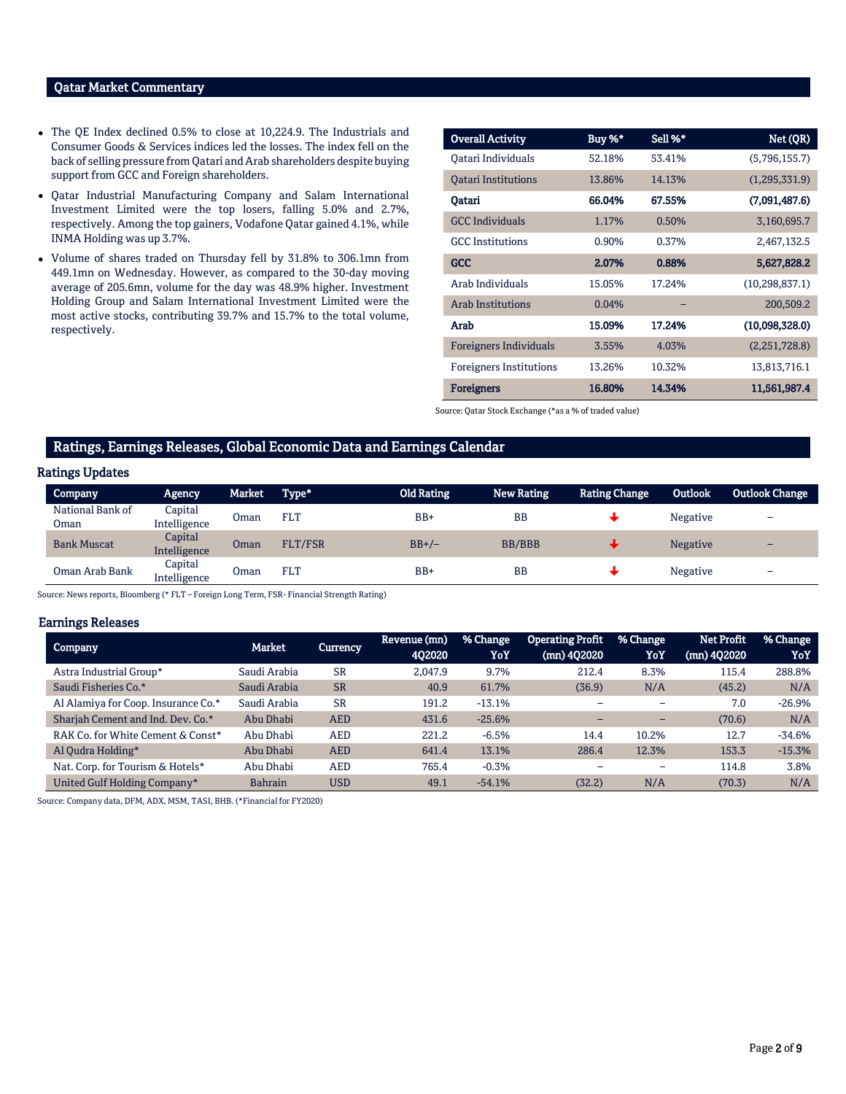### Qatar Market Commentary

- The QE Index declined 0.5% to close at 10,224.9. The Industrials and Consumer Goods & Services indices led the losses. The index fell on the back of selling pressure from Qatari and Arab shareholders despite buying support from GCC and Foreign shareholders.
- Qatar Industrial Manufacturing Company and Salam International Investment Limited were the top losers, falling 5.0% and 2.7%, respectively. Among the top gainers, Vodafone Qatar gained 4.1%, while INMA Holding was up 3.7%.
- Volume of shares traded on Thursday fell by 31.8% to 306.1mn from 449.1mn on Wednesday. However, as compared to the 30-day moving average of 205.6mn, volume for the day was 48.9% higher. Investment Holding Group and Salam International Investment Limited were the most active stocks, contributing 39.7% and 15.7% to the total volume, respectively.

| <b>Overall Activity</b>        | Buy %* | Sell %* | Net (QR)         |
|--------------------------------|--------|---------|------------------|
| Oatari Individuals             | 52.18% | 53.41%  | (5,796,155.7)    |
| <b>Qatari Institutions</b>     | 13.86% | 14.13%  | (1,295,331.9)    |
| Oatari                         | 66.04% | 67.55%  | (7,091,487.6)    |
| <b>GCC</b> Individuals         | 1.17%  | 0.50%   | 3,160,695.7      |
| <b>GCC</b> Institutions        | 0.90%  | 0.37%   | 2,467,132.5      |
| GCC                            | 2.07%  | 0.88%   | 5,627,828.2      |
| Arab Individuals               | 15.05% | 17.24%  | (10, 298, 837.1) |
| <b>Arab Institutions</b>       | 0.04%  |         | 200,509.2        |
| Arab                           | 15.09% | 17.24%  | (10,098,328.0)   |
| <b>Foreigners Individuals</b>  | 3.55%  | 4.03%   | (2,251,728.8)    |
| <b>Foreigners Institutions</b> | 13.26% | 10.32%  | 13,813,716.1     |
| <b>Foreigners</b>              | 16.80% | 14.34%  | 11,561,987.4     |

Source: Qatar Stock Exchange (\*as a % of traded value)

#### Ratings, Earnings Releases, Global Economic Data and Earnings Calendar

#### Ratings Updates

| <b>Company</b>           | Agency                  | <b>Market</b> | Type*          | <b>Old Rating</b> | <b>New Rating</b> | <b>Rating Change</b> | <b>Outlook</b>  | <b>Outlook Change</b> |
|--------------------------|-------------------------|---------------|----------------|-------------------|-------------------|----------------------|-----------------|-----------------------|
| National Bank of<br>Oman | Capital<br>Intelligence | Oman          | <b>FLT</b>     | $BB+$             | <b>BB</b>         |                      | Negative        | -                     |
| <b>Bank Muscat</b>       | Capital<br>Intelligence | Oman          | <b>FLT/FSR</b> | $BB+/-$           | <b>BB/BBB</b>     |                      | <b>Negative</b> | -                     |
| Oman Arab Bank           | Capital<br>Intelligence | Oman          | <b>FLT</b>     | BB+               | <b>BB</b>         |                      | Negative        | -                     |

Source: News reports, Bloomberg (\* FLT – Foreign Long Term, FSR- Financial Strength Rating)

#### Earnings Releases

| <b>Company</b>                      | <b>Market</b>  | Currency   | Revenue (mn)<br>402020 | % Change<br>YoY | <b>Operating Profit</b><br>(mn) 402020 | % Change<br>YoY | <b>Net Profit</b><br>(mn) 4Q2020 | % Change<br>YoY |
|-------------------------------------|----------------|------------|------------------------|-----------------|----------------------------------------|-----------------|----------------------------------|-----------------|
| Astra Industrial Group*             | Saudi Arabia   | <b>SR</b>  | 2.047.9                | 9.7%            | 212.4                                  | 8.3%            | 115.4                            | 288.8%          |
| Saudi Fisheries Co.*                | Saudi Arabia   | <b>SR</b>  | 40.9                   | 61.7%           | (36.9)                                 | N/A             | (45.2)                           | N/A             |
| Al Alamiya for Coop. Insurance Co.* | Saudi Arabia   | <b>SR</b>  | 191.2                  | $-13.1%$        |                                        |                 | 7.0                              | $-26.9%$        |
| Sharjah Cement and Ind. Dev. Co.*   | Abu Dhabi      | <b>AED</b> | 431.6                  | $-25.6%$        | -                                      | -               | (70.6)                           | N/A             |
| RAK Co. for White Cement & Const*   | Abu Dhabi      | AED        | 221.2                  | $-6.5%$         | 14.4                                   | 10.2%           | 12.7                             | $-34.6%$        |
| Al Qudra Holding*                   | Abu Dhabi      | <b>AED</b> | 641.4                  | 13.1%           | 286.4                                  | 12.3%           | 153.3                            | $-15.3%$        |
| Nat. Corp. for Tourism & Hotels*    | Abu Dhabi      | AED        | 765.4                  | $-0.3%$         |                                        |                 | 114.8                            | 3.8%            |
| United Gulf Holding Company*        | <b>Bahrain</b> | <b>USD</b> | 49.1                   | $-54.1%$        | (32.2)                                 | N/A             | (70.3)                           | N/A             |

Source: Company data, DFM, ADX, MSM, TASI, BHB. (\*Financial for FY2020)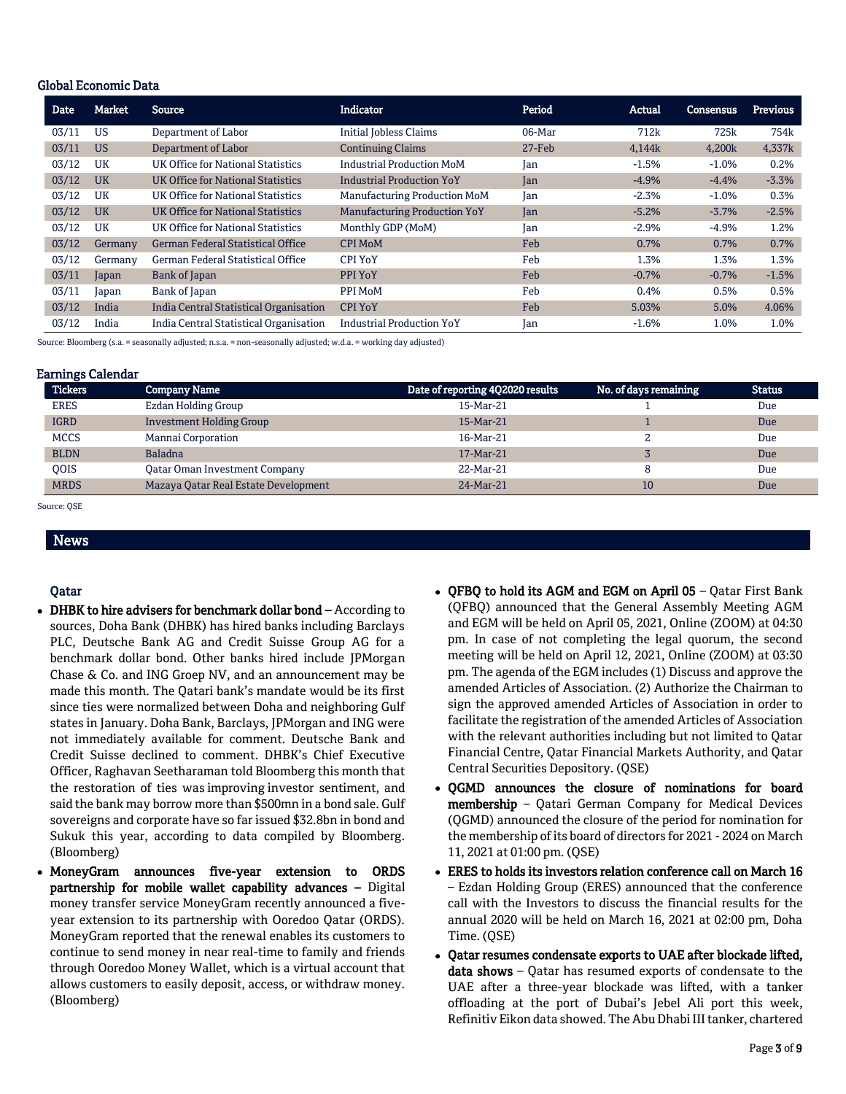#### Global Economic Data

| <b>Date</b> | Market    | Source                                   | <b>Indicator</b>                    | Period    | Actual  | <b>Consensus</b> | Previous |
|-------------|-----------|------------------------------------------|-------------------------------------|-----------|---------|------------------|----------|
| 03/11       | <b>US</b> | Department of Labor                      | <b>Initial Jobless Claims</b>       | 06-Mar    | 712k    | 725k             | 754k     |
| 03/11       | <b>US</b> | Department of Labor                      | <b>Continuing Claims</b>            | $27$ -Feb | 4,144k  | 4,200k           | 4,337k   |
| 03/12       | UK        | UK Office for National Statistics        | <b>Industrial Production MoM</b>    | Jan       | $-1.5%$ | $-1.0%$          | 0.2%     |
| 03/12       | <b>UK</b> | UK Office for National Statistics        | <b>Industrial Production YoY</b>    | Jan       | $-4.9%$ | $-4.4%$          | $-3.3%$  |
| 03/12       | UK        | UK Office for National Statistics        | Manufacturing Production MoM        | Jan       | $-2.3%$ | $-1.0%$          | 0.3%     |
| 03/12       | <b>UK</b> | UK Office for National Statistics        | <b>Manufacturing Production YoY</b> | Jan       | $-5.2%$ | $-3.7%$          | $-2.5%$  |
| 03/12       | UK        | UK Office for National Statistics        | Monthly GDP (MoM)                   | Jan       | $-2.9%$ | $-4.9%$          | 1.2%     |
| 03/12       | Germany   | <b>German Federal Statistical Office</b> | <b>CPI MoM</b>                      | Feb       | 0.7%    | 0.7%             | 0.7%     |
| 03/12       | Germany   | German Federal Statistical Office        | <b>CPI YoY</b>                      | Feb       | 1.3%    | 1.3%             | 1.3%     |
| 03/11       | Japan     | Bank of Japan                            | PPI YoY                             | Feb       | $-0.7%$ | $-0.7%$          | $-1.5%$  |
| 03/11       | Japan     | Bank of Japan                            | PPI MoM                             | Feb       | 0.4%    | 0.5%             | 0.5%     |
| 03/12       | India     | India Central Statistical Organisation   | <b>CPI YoY</b>                      | Feb       | 5.03%   | 5.0%             | 4.06%    |
| 03/12       | India     | India Central Statistical Organisation   | <b>Industrial Production YoY</b>    | Jan       | $-1.6%$ | 1.0%             | 1.0%     |

Source: Bloomberg (s.a. = seasonally adjusted; n.s.a. = non-seasonally adjusted; w.d.a. = working day adjusted)

#### Earnings Calendar

| <b>Tickers</b> | <b>Company Name</b>                  | Date of reporting 402020 results | No. of days remaining | <b>Status</b> |
|----------------|--------------------------------------|----------------------------------|-----------------------|---------------|
| <b>ERES</b>    | Ezdan Holding Group                  | 15-Mar-21                        |                       | Due           |
| <b>IGRD</b>    | <b>Investment Holding Group</b>      | 15-Mar-21                        |                       | Due           |
| <b>MCCS</b>    | Mannai Corporation                   | 16-Mar-21                        |                       | Due           |
| <b>BLDN</b>    | <b>Baladna</b>                       | 17-Mar-21                        |                       | Due           |
| <b>OOIS</b>    | Oatar Oman Investment Company        | 22-Mar-21                        |                       | Due           |
| <b>MRDS</b>    | Mazaya Qatar Real Estate Development | 24-Mar-21                        | 10                    | Due           |

Source: QSE

### Qatar

News

- DHBK to hire advisers for benchmark dollar bond According to sources, Doha Bank (DHBK) has hired banks including Barclays PLC, Deutsche Bank AG and Credit Suisse Group AG for a benchmark dollar bond. Other banks hired include JPMorgan Chase & Co. and ING Groep NV, and an announcement may be made this month. The Qatari bank's mandate would be its first since ties were normalized between Doha and neighboring Gulf states in January. Doha Bank, Barclays, JPMorgan and ING were not immediately available for comment. Deutsche Bank and Credit Suisse declined to comment. DHBK's Chief Executive Officer, Raghavan Seetharaman told Bloomberg this month that the restoration of ties was improving investor sentiment, and said the bank may borrow more than \$500mn in a bond sale. Gulf sovereigns and corporate have so far issued \$32.8bn in bond and Sukuk this year, according to data compiled by Bloomberg. (Bloomberg)
- MoneyGram announces five-year extension to ORDS partnership for mobile wallet capability advances – Digital money transfer service MoneyGram recently announced a fiveyear extension to its partnership with Ooredoo Qatar (ORDS). MoneyGram reported that the renewal enables its customers to continue to send money in near real-time to family and friends through Ooredoo Money Wallet, which is a virtual account that allows customers to easily deposit, access, or withdraw money. (Bloomberg)
- QFBQ to hold its AGM and EGM on April 05 Qatar First Bank (QFBQ) announced that the General Assembly Meeting AGM and EGM will be held on April 05, 2021, Online (ZOOM) at 04:30 pm. In case of not completing the legal quorum, the second meeting will be held on April 12, 2021, Online (ZOOM) at 03:30 pm. The agenda of the EGM includes (1) Discuss and approve the amended Articles of Association. (2) Authorize the Chairman to sign the approved amended Articles of Association in order to facilitate the registration of the amended Articles of Association with the relevant authorities including but not limited to Qatar Financial Centre, Qatar Financial Markets Authority, and Qatar Central Securities Depository. (QSE)
- OGMD announces the closure of nominations for board membership – Qatari German Company for Medical Devices (QGMD) announced the closure of the period for nomination for the membership of its board of directors for 2021 - 2024 on March 11, 2021 at 01:00 pm. (QSE)
- ERES to holds its investors relation conference call on March 16 – Ezdan Holding Group (ERES) announced that the conference call with the Investors to discuss the financial results for the annual 2020 will be held on March 16, 2021 at 02:00 pm, Doha Time. (QSE)
- Qatar resumes condensate exports to UAE after blockade lifted, data shows - Qatar has resumed exports of condensate to the UAE after a three-year blockade was lifted, with a tanker offloading at the port of Dubai's Jebel Ali port this week, Refinitiv Eikon data showed. The Abu Dhabi III tanker, chartered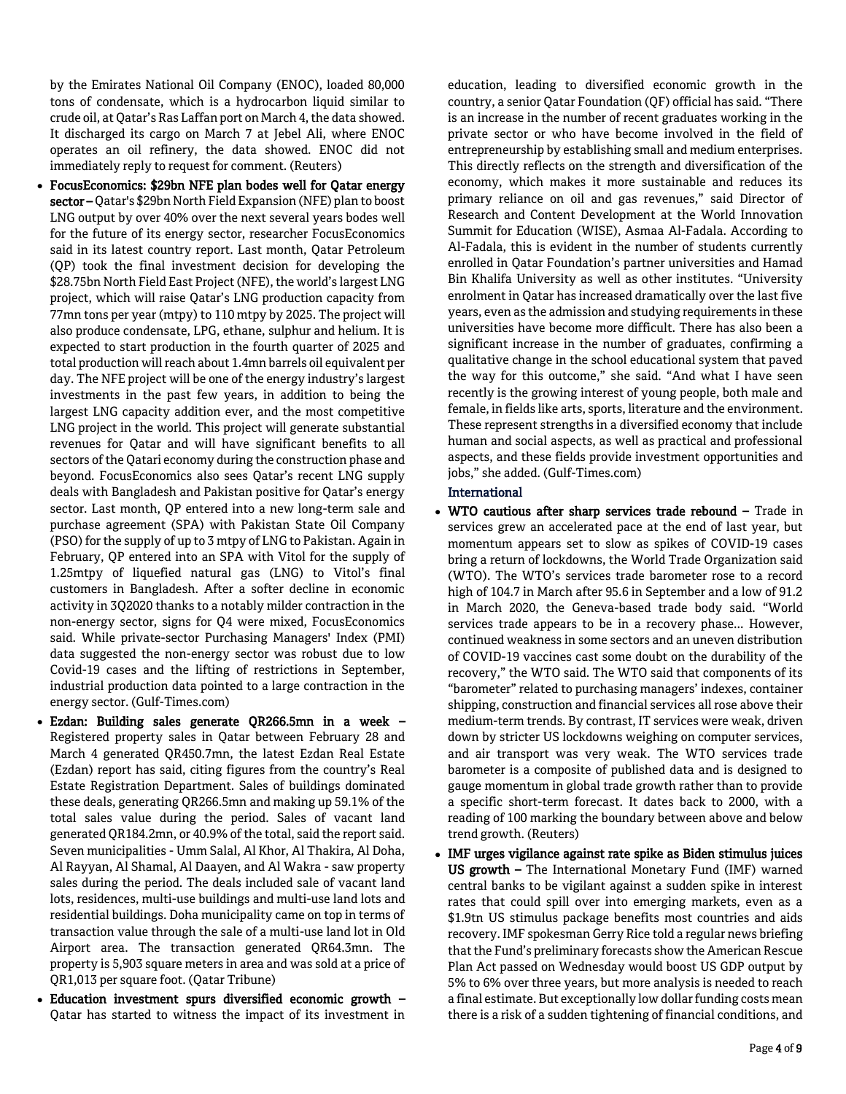by the Emirates National Oil Company (ENOC), loaded 80,000 tons of condensate, which is a hydrocarbon liquid similar to crude oil, at Qatar's Ras Laffan port on March 4, the data showed. It discharged its cargo on March 7 at Jebel Ali, where ENOC operates an oil refinery, the data showed. ENOC did not immediately reply to request for comment. (Reuters)

- FocusEconomics: \$29bn NFE plan bodes well for Qatar energy sector – Qatar's \$29bn North Field Expansion (NFE) plan to boost LNG output by over 40% over the next several years bodes well for the future of its energy sector, researcher FocusEconomics said in its latest country report. Last month, Qatar Petroleum (QP) took the final investment decision for developing the \$28.75bn North Field East Project (NFE), the world's largest LNG project, which will raise Qatar's LNG production capacity from 77mn tons per year (mtpy) to 110 mtpy by 2025. The project will also produce condensate, LPG, ethane, sulphur and helium. It is expected to start production in the fourth quarter of 2025 and total production will reach about 1.4mn barrels oil equivalent per day. The NFE project will be one of the energy industry's largest investments in the past few years, in addition to being the largest LNG capacity addition ever, and the most competitive LNG project in the world. This project will generate substantial revenues for Qatar and will have significant benefits to all sectors of the Qatari economy during the construction phase and beyond. FocusEconomics also sees Qatar's recent LNG supply deals with Bangladesh and Pakistan positive for Qatar's energy sector. Last month, QP entered into a new long-term sale and purchase agreement (SPA) with Pakistan State Oil Company (PSO) for the supply of up to 3 mtpy of LNG to Pakistan. Again in February, QP entered into an SPA with Vitol for the supply of 1.25mtpy of liquefied natural gas (LNG) to Vitol's final customers in Bangladesh. After a softer decline in economic activity in 3Q2020 thanks to a notably milder contraction in the non-energy sector, signs for Q4 were mixed, FocusEconomics said. While private-sector Purchasing Managers' Index (PMI) data suggested the non-energy sector was robust due to low Covid-19 cases and the lifting of restrictions in September, industrial production data pointed to a large contraction in the energy sector. (Gulf-Times.com)
- Ezdan: Building sales generate QR266.5mn in a week Registered property sales in Qatar between February 28 and March 4 generated QR450.7mn, the latest Ezdan Real Estate (Ezdan) report has said, citing figures from the country's Real Estate Registration Department. Sales of buildings dominated these deals, generating QR266.5mn and making up 59.1% of the total sales value during the period. Sales of vacant land generated QR184.2mn, or 40.9% of the total, said the report said. Seven municipalities - Umm Salal, Al Khor, Al Thakira, Al Doha, Al Rayyan, Al Shamal, Al Daayen, and Al Wakra - saw property sales during the period. The deals included sale of vacant land lots, residences, multi-use buildings and multi-use land lots and residential buildings. Doha municipality came on top in terms of transaction value through the sale of a multi-use land lot in Old Airport area. The transaction generated QR64.3mn. The property is 5,903 square meters in area and was sold at a price of QR1,013 per square foot. (Qatar Tribune)
- Education investment spurs diversified economic growth Qatar has started to witness the impact of its investment in

education, leading to diversified economic growth in the country, a senior Qatar Foundation (QF) official has said. "There is an increase in the number of recent graduates working in the private sector or who have become involved in the field of entrepreneurship by establishing small and medium enterprises. This directly reflects on the strength and diversification of the economy, which makes it more sustainable and reduces its primary reliance on oil and gas revenues," said Director of Research and Content Development at the World Innovation Summit for Education (WISE), Asmaa Al-Fadala. According to Al-Fadala, this is evident in the number of students currently enrolled in Qatar Foundation's partner universities and Hamad Bin Khalifa University as well as other institutes. "University enrolment in Qatar has increased dramatically over the last five years, even as the admission and studying requirements in these universities have become more difficult. There has also been a significant increase in the number of graduates, confirming a qualitative change in the school educational system that paved the way for this outcome," she said. "And what I have seen recently is the growing interest of young people, both male and female, in fields like arts, sports, literature and the environment. These represent strengths in a diversified economy that include human and social aspects, as well as practical and professional aspects, and these fields provide investment opportunities and jobs," she added. (Gulf-Times.com)

#### International

- WTO cautious after sharp services trade rebound Trade in services grew an accelerated pace at the end of last year, but momentum appears set to slow as spikes of COVID-19 cases bring a return of lockdowns, the World Trade Organization said (WTO). The WTO's services trade barometer rose to a record high of 104.7 in March after 95.6 in September and a low of 91.2 in March 2020, the Geneva-based trade body said. "World services trade appears to be in a recovery phase... However, continued weakness in some sectors and an uneven distribution of COVID-19 vaccines cast some doubt on the durability of the recovery," the WTO said. The WTO said that components of its "barometer" related to purchasing managers' indexes, container shipping, construction and financial services all rose above their medium-term trends. By contrast, IT services were weak, driven down by stricter US lockdowns weighing on computer services, and air transport was very weak. The WTO services trade barometer is a composite of published data and is designed to gauge momentum in global trade growth rather than to provide a specific short-term forecast. It dates back to 2000, with a reading of 100 marking the boundary between above and below trend growth. (Reuters)
- IMF urges vigilance against rate spike as Biden stimulus juices US growth – The International Monetary Fund (IMF) warned central banks to be vigilant against a sudden spike in interest rates that could spill over into emerging markets, even as a \$1.9tn US stimulus package benefits most countries and aids recovery. IMF spokesman Gerry Rice told a regular news briefing that the Fund's preliminary forecasts show the American Rescue Plan Act passed on Wednesday would boost US GDP output by 5% to 6% over three years, but more analysis is needed to reach a final estimate. But exceptionally low dollar funding costs mean there is a risk of a sudden tightening of financial conditions, and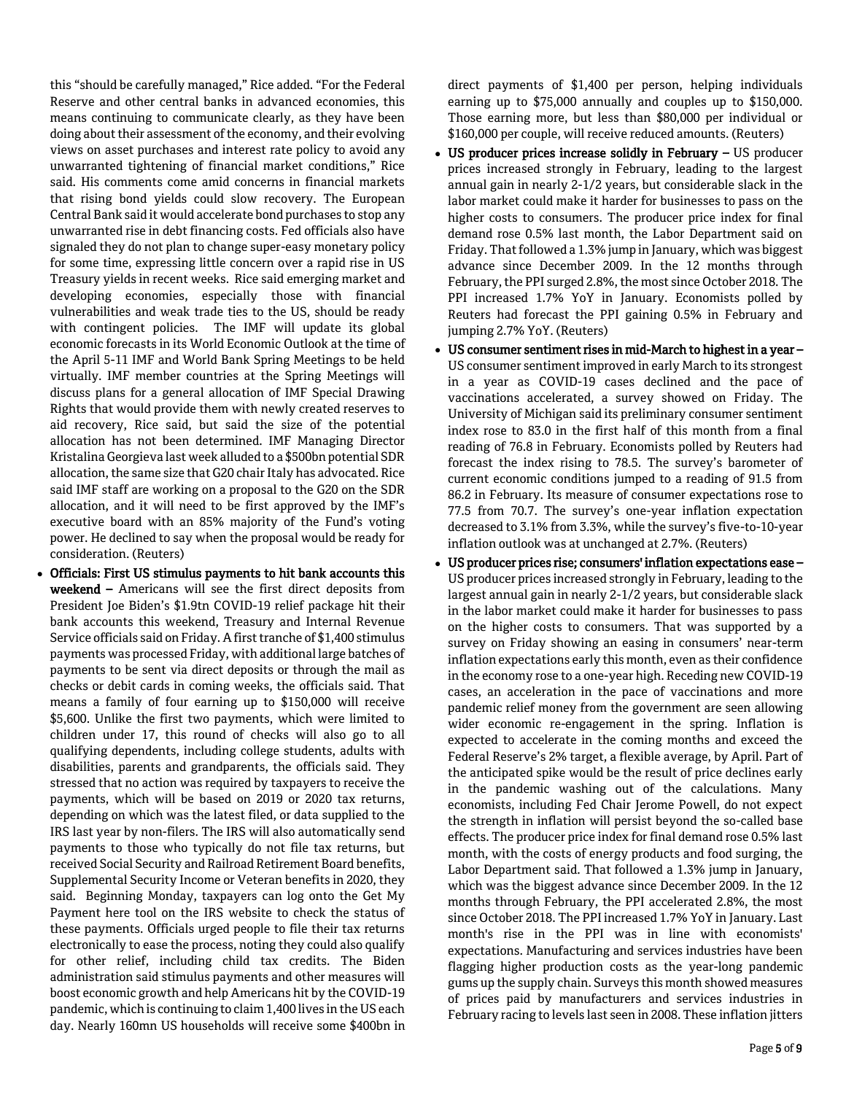this "should be carefully managed," Rice added. "For the Federal Reserve and other central banks in advanced economies, this means continuing to communicate clearly, as they have been doing about their assessment of the economy, and their evolving views on asset purchases and interest rate policy to avoid any unwarranted tightening of financial market conditions," Rice said. His comments come amid concerns in financial markets that rising bond yields could slow recovery. The European Central Bank said it would accelerate bond purchases to stop any unwarranted rise in debt financing costs. Fed officials also have signaled they do not plan to change super-easy monetary policy for some time, expressing little concern over a rapid rise in US Treasury yields in recent weeks. Rice said emerging market and developing economies, especially those with financial vulnerabilities and weak trade ties to the US, should be ready with contingent policies. The IMF will update its global economic forecasts in its World Economic Outlook at the time of the April 5-11 IMF and World Bank Spring Meetings to be held virtually. IMF member countries at the Spring Meetings will discuss plans for a general allocation of IMF Special Drawing Rights that would provide them with newly created reserves to aid recovery, Rice said, but said the size of the potential allocation has not been determined. IMF Managing Director Kristalina Georgieva last week alluded to a \$500bn potential SDR allocation, the same size that G20 chair Italy has advocated. Rice said IMF staff are working on a proposal to the G20 on the SDR allocation, and it will need to be first approved by the IMF's executive board with an 85% majority of the Fund's voting power. He declined to say when the proposal would be ready for consideration. (Reuters)

 Officials: First US stimulus payments to hit bank accounts this weekend – Americans will see the first direct deposits from President Joe Biden's \$1.9tn COVID-19 relief package hit their bank accounts this weekend, Treasury and Internal Revenue Service officials said on Friday. A first tranche of \$1,400 stimulus payments was processed Friday, with additional large batches of payments to be sent via direct deposits or through the mail as checks or debit cards in coming weeks, the officials said. That means a family of four earning up to \$150,000 will receive \$5,600. Unlike the first two payments, which were limited to children under 17, this round of checks will also go to all qualifying dependents, including college students, adults with disabilities, parents and grandparents, the officials said. They stressed that no action was required by taxpayers to receive the payments, which will be based on 2019 or 2020 tax returns, depending on which was the latest filed, or data supplied to the IRS last year by non-filers. The IRS will also automatically send payments to those who typically do not file tax returns, but received Social Security and Railroad Retirement Board benefits, Supplemental Security Income or Veteran benefits in 2020, they said. Beginning Monday, taxpayers can log onto the Get My Payment here tool on the IRS website to check the status of these payments. Officials urged people to file their tax returns electronically to ease the process, noting they could also qualify for other relief, including child tax credits. The Biden administration said stimulus payments and other measures will boost economic growth and help Americans hit by the COVID-19 pandemic, which is continuing to claim 1,400 lives in the US each day. Nearly 160mn US households will receive some \$400bn in direct payments of \$1,400 per person, helping individuals earning up to \$75,000 annually and couples up to \$150,000. Those earning more, but less than \$80,000 per individual or \$160,000 per couple, will receive reduced amounts. (Reuters)

- US producer prices increase solidly in February US producer prices increased strongly in February, leading to the largest annual gain in nearly 2-1/2 years, but considerable slack in the labor market could make it harder for businesses to pass on the higher costs to consumers. The producer price index for final demand rose 0.5% last month, the Labor Department said on Friday. That followed a 1.3% jump in January, which was biggest advance since December 2009. In the 12 months through February, the PPI surged 2.8%, the most since October 2018. The PPI increased 1.7% YoY in January. Economists polled by Reuters had forecast the PPI gaining 0.5% in February and jumping 2.7% YoY. (Reuters)
- US consumer sentiment rises in mid-March to highest in a year US consumer sentiment improved in early March to its strongest in a year as COVID-19 cases declined and the pace of vaccinations accelerated, a survey showed on Friday. The University of Michigan said its preliminary consumer sentiment index rose to 83.0 in the first half of this month from a final reading of 76.8 in February. Economists polled by Reuters had forecast the index rising to 78.5. The survey's barometer of current economic conditions jumped to a reading of 91.5 from 86.2 in February. Its measure of consumer expectations rose to 77.5 from 70.7. The survey's one-year inflation expectation decreased to 3.1% from 3.3%, while the survey's five-to-10-year inflation outlook was at unchanged at 2.7%. (Reuters)
- US producer prices rise; consumers' inflation expectations ease US producer prices increased strongly in February, leading to the largest annual gain in nearly 2-1/2 years, but considerable slack in the labor market could make it harder for businesses to pass on the higher costs to consumers. That was supported by a survey on Friday showing an easing in consumers' near-term inflation expectations early this month, even as their confidence in the economy rose to a one-year high. Receding new COVID-19 cases, an acceleration in the pace of vaccinations and more pandemic relief money from the government are seen allowing wider economic re-engagement in the spring. Inflation is expected to accelerate in the coming months and exceed the Federal Reserve's 2% target, a flexible average, by April. Part of the anticipated spike would be the result of price declines early in the pandemic washing out of the calculations. Many economists, including Fed Chair Jerome Powell, do not expect the strength in inflation will persist beyond the so-called base effects. The producer price index for final demand rose 0.5% last month, with the costs of energy products and food surging, the Labor Department said. That followed a 1.3% jump in January, which was the biggest advance since December 2009. In the 12 months through February, the PPI accelerated 2.8%, the most since October 2018. The PPI increased 1.7% YoY in January. Last month's rise in the PPI was in line with economists' expectations. Manufacturing and services industries have been flagging higher production costs as the year-long pandemic gums up the supply chain. Surveys this month showed measures of prices paid by manufacturers and services industries in February racing to levels last seen in 2008. These inflation jitters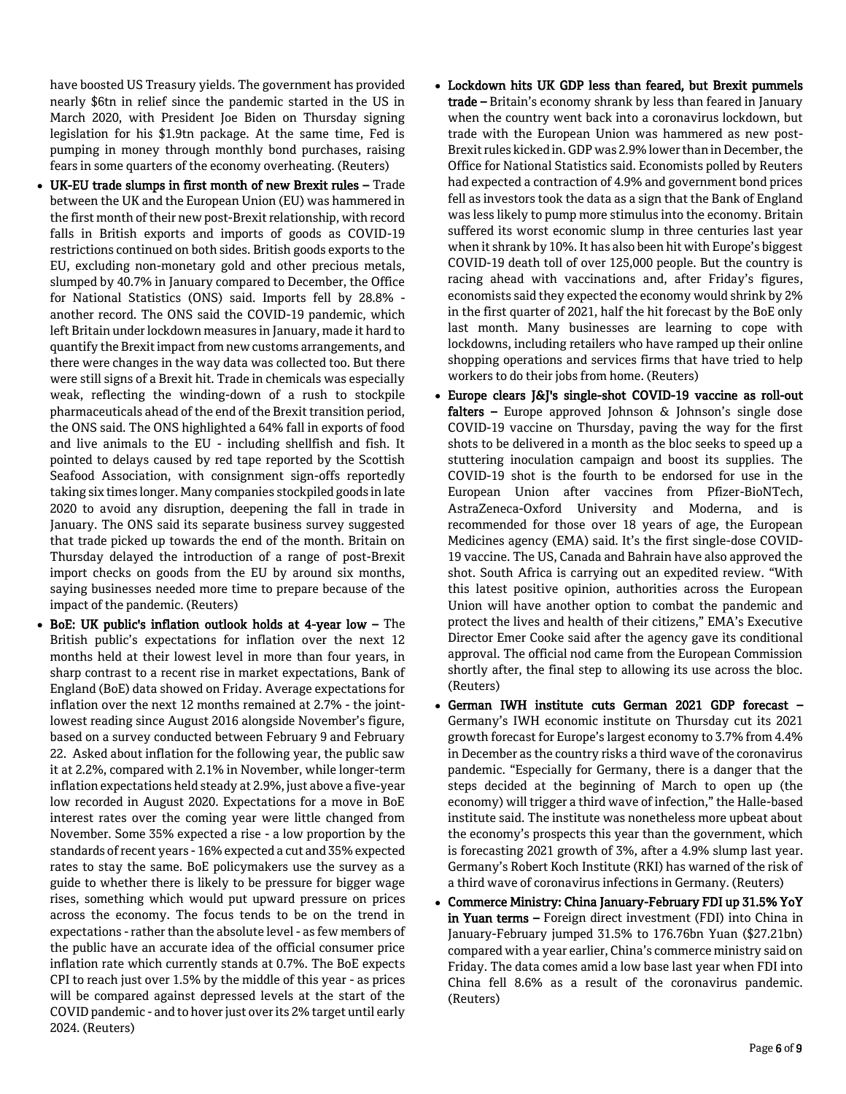have boosted US Treasury yields. The government has provided nearly \$6tn in relief since the pandemic started in the US in March 2020, with President Joe Biden on Thursday signing legislation for his \$1.9tn package. At the same time, Fed is pumping in money through monthly bond purchases, raising fears in some quarters of the economy overheating. (Reuters)

- UK-EU trade slumps in first month of new Brexit rules Trade between the UK and the European Union (EU) was hammered in the first month of their new post-Brexit relationship, with record falls in British exports and imports of goods as COVID-19 restrictions continued on both sides. British goods exports to the EU, excluding non-monetary gold and other precious metals, slumped by 40.7% in January compared to December, the Office for National Statistics (ONS) said. Imports fell by 28.8% another record. The ONS said the COVID-19 pandemic, which left Britain under lockdown measures in January, made it hard to quantify the Brexit impact from new customs arrangements, and there were changes in the way data was collected too. But there were still signs of a Brexit hit. Trade in chemicals was especially weak, reflecting the winding-down of a rush to stockpile pharmaceuticals ahead of the end of the Brexit transition period, the ONS said. The ONS highlighted a 64% fall in exports of food and live animals to the EU - including shellfish and fish. It pointed to delays caused by red tape reported by the Scottish Seafood Association, with consignment sign-offs reportedly taking six times longer. Many companies stockpiled goods in late 2020 to avoid any disruption, deepening the fall in trade in January. The ONS said its separate business survey suggested that trade picked up towards the end of the month. Britain on Thursday delayed the introduction of a range of post-Brexit import checks on goods from the EU by around six months, saying businesses needed more time to prepare because of the impact of the pandemic. (Reuters)
- BoE: UK public's inflation outlook holds at 4-year low The British public's expectations for inflation over the next 12 months held at their lowest level in more than four years, in sharp contrast to a recent rise in market expectations, Bank of England (BoE) data showed on Friday. Average expectations for inflation over the next 12 months remained at 2.7% - the jointlowest reading since August 2016 alongside November's figure, based on a survey conducted between February 9 and February 22. Asked about inflation for the following year, the public saw it at 2.2%, compared with 2.1% in November, while longer-term inflation expectations held steady at 2.9%, just above a five-year low recorded in August 2020. Expectations for a move in BoE interest rates over the coming year were little changed from November. Some 35% expected a rise - a low proportion by the standards of recent years - 16% expected a cut and 35% expected rates to stay the same. BoE policymakers use the survey as a guide to whether there is likely to be pressure for bigger wage rises, something which would put upward pressure on prices across the economy. The focus tends to be on the trend in expectations -rather than the absolute level - as few members of the public have an accurate idea of the official consumer price inflation rate which currently stands at 0.7%. The BoE expects CPI to reach just over 1.5% by the middle of this year - as prices will be compared against depressed levels at the start of the COVID pandemic - and to hover just over its 2% target until early 2024. (Reuters)
- Lockdown hits UK GDP less than feared, but Brexit pummels trade – Britain's economy shrank by less than feared in January when the country went back into a coronavirus lockdown, but trade with the European Union was hammered as new post-Brexit rules kicked in. GDP was 2.9% lower than in December, the Office for National Statistics said. Economists polled by Reuters had expected a contraction of 4.9% and government bond prices fell as investors took the data as a sign that the Bank of England was less likely to pump more stimulus into the economy. Britain suffered its worst economic slump in three centuries last year when it shrank by 10%. It has also been hit with Europe's biggest COVID-19 death toll of over 125,000 people. But the country is racing ahead with vaccinations and, after Friday's figures, economists said they expected the economy would shrink by 2% in the first quarter of 2021, half the hit forecast by the BoE only last month. Many businesses are learning to cope with lockdowns, including retailers who have ramped up their online shopping operations and services firms that have tried to help workers to do their jobs from home. (Reuters)
- Europe clears J&J's single-shot COVID-19 vaccine as roll-out falters  $-$  Europe approved Johnson & Johnson's single dose COVID-19 vaccine on Thursday, paving the way for the first shots to be delivered in a month as the bloc seeks to speed up a stuttering inoculation campaign and boost its supplies. The COVID-19 shot is the fourth to be endorsed for use in the European Union after vaccines from Pfizer-BioNTech, AstraZeneca-Oxford University and Moderna, and is recommended for those over 18 years of age, the European Medicines agency (EMA) said. It's the first single-dose COVID-19 vaccine. The US, Canada and Bahrain have also approved the shot. South Africa is carrying out an expedited review. "With this latest positive opinion, authorities across the European Union will have another option to combat the pandemic and protect the lives and health of their citizens," EMA's Executive Director Emer Cooke said after the agency gave its conditional approval. The official nod came from the European Commission shortly after, the final step to allowing its use across the bloc. (Reuters)
- German IWH institute cuts German 2021 GDP forecast Germany's IWH economic institute on Thursday cut its 2021 growth forecast for Europe's largest economy to 3.7% from 4.4% in December as the country risks a third wave of the coronavirus pandemic. "Especially for Germany, there is a danger that the steps decided at the beginning of March to open up (the economy) will trigger a third wave of infection," the Halle-based institute said. The institute was nonetheless more upbeat about the economy's prospects this year than the government, which is forecasting 2021 growth of 3%, after a 4.9% slump last year. Germany's Robert Koch Institute (RKI) has warned of the risk of a third wave of coronavirus infections in Germany. (Reuters)
- Commerce Ministry: China January-February FDI up 31.5% YoY in Yuan terms – Foreign direct investment (FDI) into China in January-February jumped 31.5% to 176.76bn Yuan (\$27.21bn) compared with a year earlier, China's commerce ministry said on Friday. The data comes amid a low base last year when FDI into China fell 8.6% as a result of the coronavirus pandemic. (Reuters)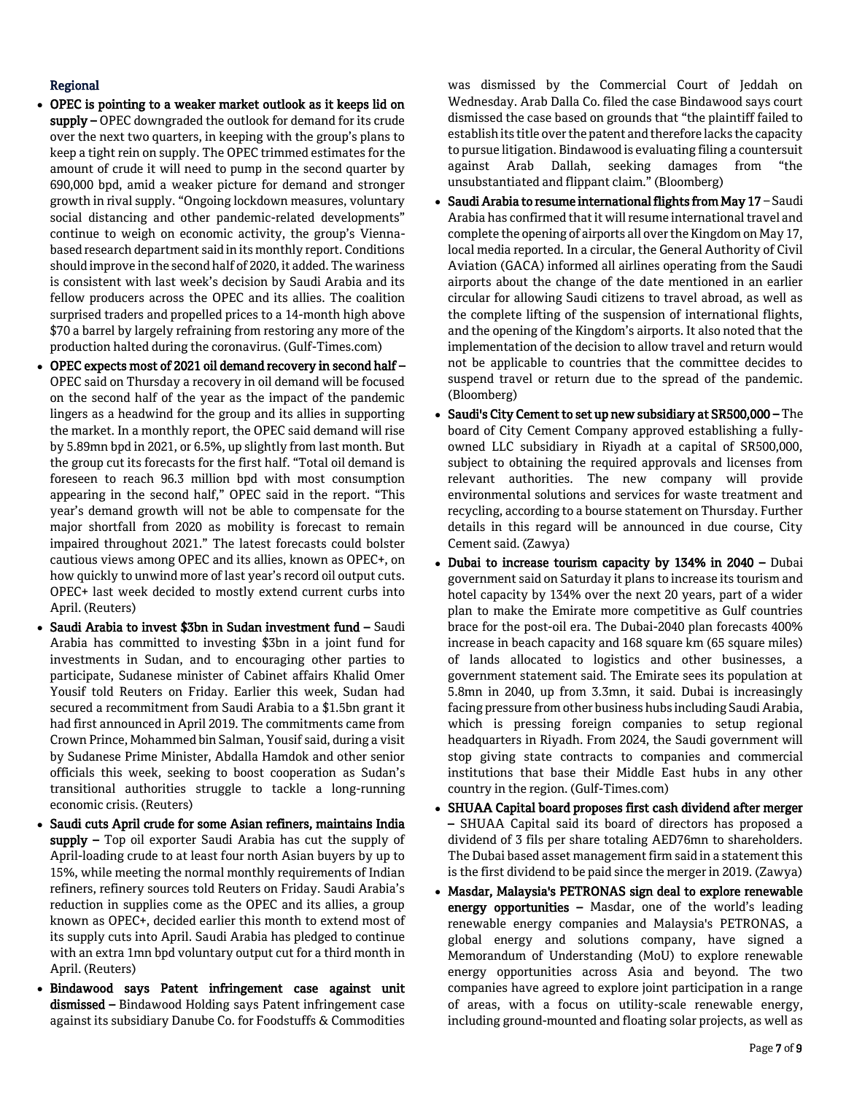### Regional

- OPEC is pointing to a weaker market outlook as it keeps lid on supply – OPEC downgraded the outlook for demand for its crude over the next two quarters, in keeping with the group's plans to keep a tight rein on supply. The OPEC trimmed estimates for the amount of crude it will need to pump in the second quarter by 690,000 bpd, amid a weaker picture for demand and stronger growth in rival supply. "Ongoing lockdown measures, voluntary social distancing and other pandemic-related developments" continue to weigh on economic activity, the group's Viennabased research department said in its monthly report. Conditions should improve in the second half of 2020, it added. The wariness is consistent with last week's decision by Saudi Arabia and its fellow producers across the OPEC and its allies. The coalition surprised traders and propelled prices to a 14-month high above \$70 a barrel by largely refraining from restoring any more of the production halted during the coronavirus. (Gulf-Times.com)
- OPEC expects most of 2021 oil demand recovery in second half OPEC said on Thursday a recovery in oil demand will be focused on the second half of the year as the impact of the pandemic lingers as a headwind for the group and its allies in supporting the market. In a monthly report, the OPEC said demand will rise by 5.89mn bpd in 2021, or 6.5%, up slightly from last month. But the group cut its forecasts for the first half. "Total oil demand is foreseen to reach 96.3 million bpd with most consumption appearing in the second half," OPEC said in the report. "This year's demand growth will not be able to compensate for the major shortfall from 2020 as mobility is forecast to remain impaired throughout 2021." The latest forecasts could bolster cautious views among OPEC and its allies, known as OPEC+, on how quickly to unwind more of last year's record oil output cuts. OPEC+ last week decided to mostly extend current curbs into April. (Reuters)
- Saudi Arabia to invest \$3bn in Sudan investment fund Saudi Arabia has committed to investing \$3bn in a joint fund for investments in Sudan, and to encouraging other parties to participate, Sudanese minister of Cabinet affairs Khalid Omer Yousif told Reuters on Friday. Earlier this week, Sudan had secured a recommitment from Saudi Arabia to a \$1.5bn grant it had first announced in April 2019. The commitments came from Crown Prince, Mohammed bin Salman, Yousif said, during a visit by Sudanese Prime Minister, Abdalla Hamdok and other senior officials this week, seeking to boost cooperation as Sudan's transitional authorities struggle to tackle a long-running economic crisis. (Reuters)
- Saudi cuts April crude for some Asian refiners, maintains India supply - Top oil exporter Saudi Arabia has cut the supply of April-loading crude to at least four north Asian buyers by up to 15%, while meeting the normal monthly requirements of Indian refiners, refinery sources told Reuters on Friday. Saudi Arabia's reduction in supplies come as the OPEC and its allies, a group known as OPEC+, decided earlier this month to extend most of its supply cuts into April. Saudi Arabia has pledged to continue with an extra 1mn bpd voluntary output cut for a third month in April. (Reuters)
- Bindawood says Patent infringement case against unit dismissed - Bindawood Holding says Patent infringement case against its subsidiary Danube Co. for Foodstuffs & Commodities

was dismissed by the Commercial Court of Jeddah on Wednesday. Arab Dalla Co. filed the case Bindawood says court dismissed the case based on grounds that "the plaintiff failed to establish its title over the patent and therefore lacks the capacity to pursue litigation. Bindawood is evaluating filing a countersuit against Arab Dallah, seeking damages from "the unsubstantiated and flippant claim." (Bloomberg)

- Saudi Arabia to resume international flights from May 17 Saudi Arabia has confirmed that it will resume international travel and complete the opening of airports all over the Kingdom on May 17, local media reported. In a circular, the General Authority of Civil Aviation (GACA) informed all airlines operating from the Saudi airports about the change of the date mentioned in an earlier circular for allowing Saudi citizens to travel abroad, as well as the complete lifting of the suspension of international flights, and the opening of the Kingdom's airports. It also noted that the implementation of the decision to allow travel and return would not be applicable to countries that the committee decides to suspend travel or return due to the spread of the pandemic. (Bloomberg)
- Saudi's City Cement to set up new subsidiary at SR500,000 The board of City Cement Company approved establishing a fullyowned LLC subsidiary in Riyadh at a capital of SR500,000, subject to obtaining the required approvals and licenses from relevant authorities. The new company will provide environmental solutions and services for waste treatment and recycling, according to a bourse statement on Thursday. Further details in this regard will be announced in due course, City Cement said. (Zawya)
- Dubai to increase tourism capacity by 134% in 2040 Dubai government said on Saturday it plans to increase its tourism and hotel capacity by 134% over the next 20 years, part of a wider plan to make the Emirate more competitive as Gulf countries brace for the post-oil era. The Dubai-2040 plan forecasts 400% increase in beach capacity and 168 square km (65 square miles) of lands allocated to logistics and other businesses, a government statement said. The Emirate sees its population at 5.8mn in 2040, up from 3.3mn, it said. Dubai is increasingly facing pressure from other business hubs including Saudi Arabia, which is pressing foreign companies to setup regional headquarters in Riyadh. From 2024, the Saudi government will stop giving state contracts to companies and commercial institutions that base their Middle East hubs in any other country in the region. (Gulf-Times.com)
- SHUAA Capital board proposes first cash dividend after merger – SHUAA Capital said its board of directors has proposed a dividend of 3 fils per share totaling AED76mn to shareholders. The Dubai based asset management firm said in a statement this is the first dividend to be paid since the merger in 2019. (Zawya)
- Masdar, Malaysia's PETRONAS sign deal to explore renewable energy opportunities – Masdar, one of the world's leading renewable energy companies and Malaysia's PETRONAS, a global energy and solutions company, have signed a Memorandum of Understanding (MoU) to explore renewable energy opportunities across Asia and beyond. The two companies have agreed to explore joint participation in a range of areas, with a focus on utility-scale renewable energy, including ground-mounted and floating solar projects, as well as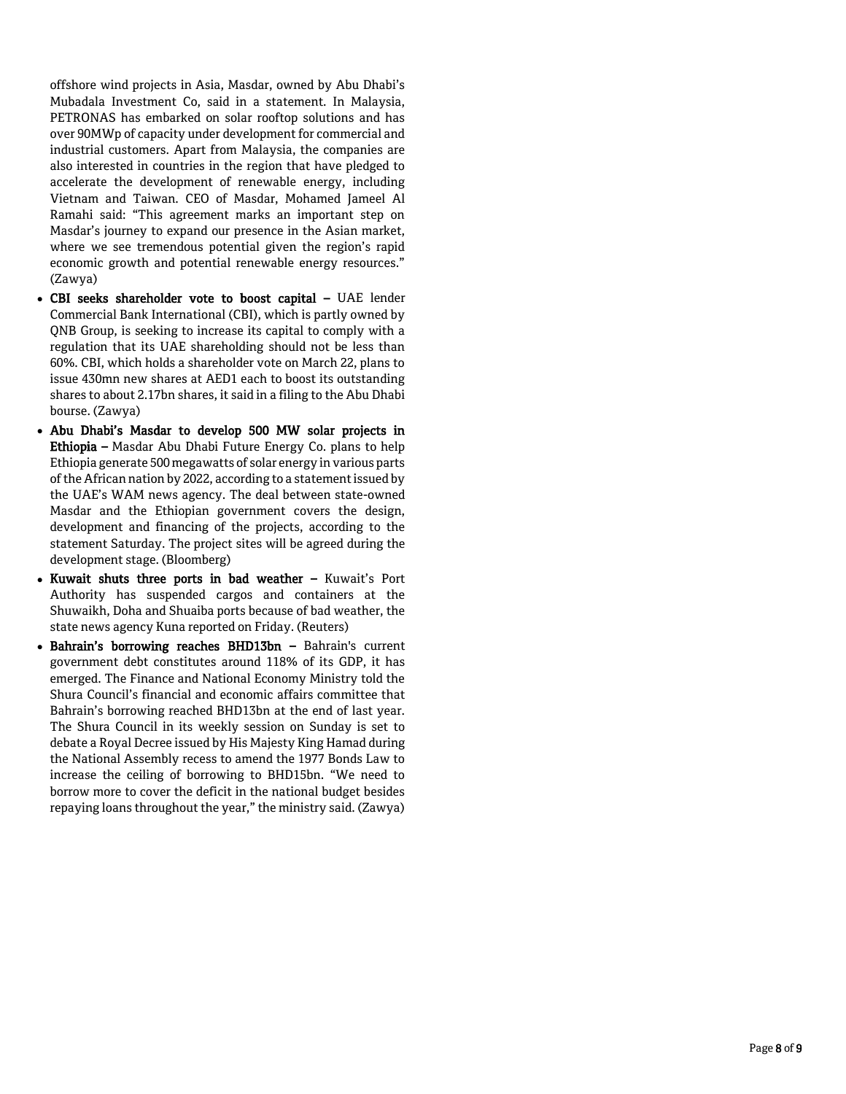offshore wind projects in Asia, Masdar, owned by Abu Dhabi's Mubadala Investment Co, said in a statement. In Malaysia, PETRONAS has embarked on solar rooftop solutions and has over 90MWp of capacity under development for commercial and industrial customers. Apart from Malaysia, the companies are also interested in countries in the region that have pledged to accelerate the development of renewable energy, including Vietnam and Taiwan. CEO of Masdar, Mohamed Jameel Al Ramahi said: "This agreement marks an important step on Masdar's journey to expand our presence in the Asian market, where we see tremendous potential given the region's rapid economic growth and potential renewable energy resources." (Zawya)

- CBI seeks shareholder vote to boost capital UAE lender Commercial Bank International (CBI), which is partly owned by QNB Group, is seeking to increase its capital to comply with a regulation that its UAE shareholding should not be less than 60%. CBI, which holds a shareholder vote on March 22, plans to issue 430mn new shares at AED1 each to boost its outstanding shares to about 2.17bn shares, it said in a filing to the Abu Dhabi bourse. (Zawya)
- Abu Dhabi's Masdar to develop 500 MW solar projects in **Ethiopia –** Masdar Abu Dhabi Future Energy Co. plans to help Ethiopia generate 500 megawatts of solar energy in various parts of the African nation by 2022, according to a statement issued by the UAE's WAM news agency. The deal between state -owned Masdar and the Ethiopian government covers the design, development and financing of the projects, according to the statement Saturday. The project sites will be agreed during the development stage. (Bloomberg)
- Kuwait shuts three ports in bad weather Kuwait's Port Authority has suspended cargos and containers at the Shuwaikh, Doha and Shuaiba ports because of bad weather, the state news agency Kuna reported on Friday. (Reuters)
- Bahrain's borrowing reaches BHD13bn Bahrain's current government debt constitutes around 118% of its GDP, it has emerged. The Finance and National Economy Ministry told the Shura Council's financial and economic affairs committee that Bahrain's borrowing reached BHD13bn at the end of last year. The Shura Council in its weekly session on Sunday is set to debate a Royal Decree issued by His Majesty King Hamad during the National Assembly recess to amend the 1977 Bonds Law to increase the ceiling of borrowing to BHD15bn. "We need to borrow more to cover the deficit in the national budget besides repaying loans throughout the year," the ministry said. (Zawya)